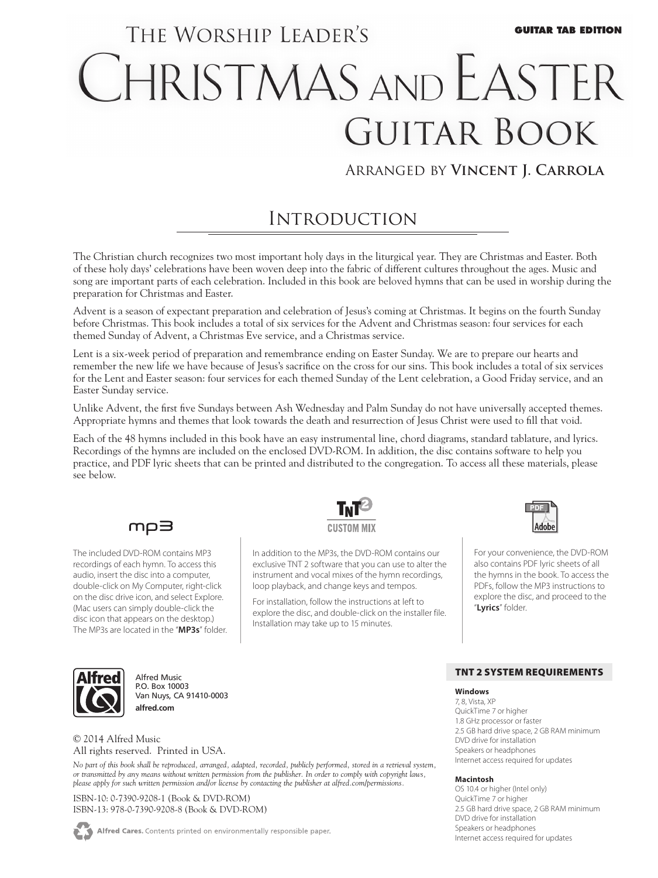# THE WORSHIP LEADER'S **GUITAR TAB EDITION** CHRISTMAS AND EASTER **GUITAR BOOK**

### Arranged by **Vincent J. Carrola**

## **INTRODUCTION**

The Christian church recognizes two most important holy days in the liturgical year. They are Christmas and Easter. Both of these holy days' celebrations have been woven deep into the fabric of different cultures throughout the ages. Music and song are important parts of each celebration. Included in this book are beloved hymns that can be used in worship during the preparation for Christmas and Easter.

Advent is a season of expectant preparation and celebration of Jesus's coming at Christmas. It begins on the fourth Sunday before Christmas. This book includes a total of six services for the Advent and Christmas season: four services for each themed Sunday of Advent, a Christmas Eve service, and a Christmas service.

Lent is a six-week period of preparation and remembrance ending on Easter Sunday. We are to prepare our hearts and remember the new life we have because of Jesus's sacrifice on the cross for our sins. This book includes a total of six services for the Lent and Easter season: four services for each themed Sunday of the Lent celebration, a Good Friday service, and an Easter Sunday service.

Unlike Advent, the first five Sundays between Ash Wednesday and Palm Sunday do not have universally accepted themes. Appropriate hymns and themes that look towards the death and resurrection of Jesus Christ were used to fill that void.

Each of the 48 hymns included in this book have an easy instrumental line, chord diagrams, standard tablature, and lyrics. Recordings of the hymns are included on the enclosed DVD-ROM. In addition, the disc contains software to help you practice, and PDF lyric sheets that can be printed and distributed to the congregation. To access all these materials, please see below.

### mp∃

The included DVD-ROM contains MP3 recordings of each hymn. To access this audio, insert the disc into a computer, double-click on My Computer, right-click on the disc drive icon, and select Explore. (Mac users can simply double-click the disc icon that appears on the desktop.) The MP3s are located in the "**MP3s**" folder.



In addition to the MP3s, the DVD-ROM contains our exclusive TNT 2 software that you can use to alter the instrument and vocal mixes of the hymn recordings, loop playback, and change keys and tempos.

For installation, follow the instructions at left to explore the disc, and double-click on the installer file. Installation may take up to 15 minutes.



For your convenience, the DVD-ROM also contains PDF lyric sheets of all the hymns in the book. To access the PDFs, follow the MP3 instructions to explore the disc, and proceed to the "**Lyrics**" folder.



Alfred Music P.O. Box 10003 Van Nuys, CA 91410-0003 **alfred.com**

© 2014 Alfred Music All rights reserved. Printed in USA.

*No part of this book shall be reproduced, arranged, adapted, recorded, publicly performed, stored in a retrieval system, or transmitted by any means without written permission from the publisher. In order to comply with copyright laws, please apply for such written permission and/or license by contacting the publisher at alfred.com/permissions.*

ISBN-10: 0-7390-9208-1 (Book & DVD-ROM) ISBN-13: 978-0-7390-9208-8 (Book & DVD-ROM)

Alfred Cares. Contents printed on environmentally responsible paper.

#### TNT 2 System Requirements

#### **Windows**

7, 8, Vista, XP QuickTime 7 or higher 1.8 GHz processor or faster 2.5 GB hard drive space, 2 GB RAM minimum DVD drive for installation Speakers or headphones Internet access required for updates

#### **Macintosh**

OS 10.4 or higher (Intel only) QuickTime 7 or higher 2.5 GB hard drive space, 2 GB RAM minimum DVD drive for installation Speakers or headphones Internet access required for updates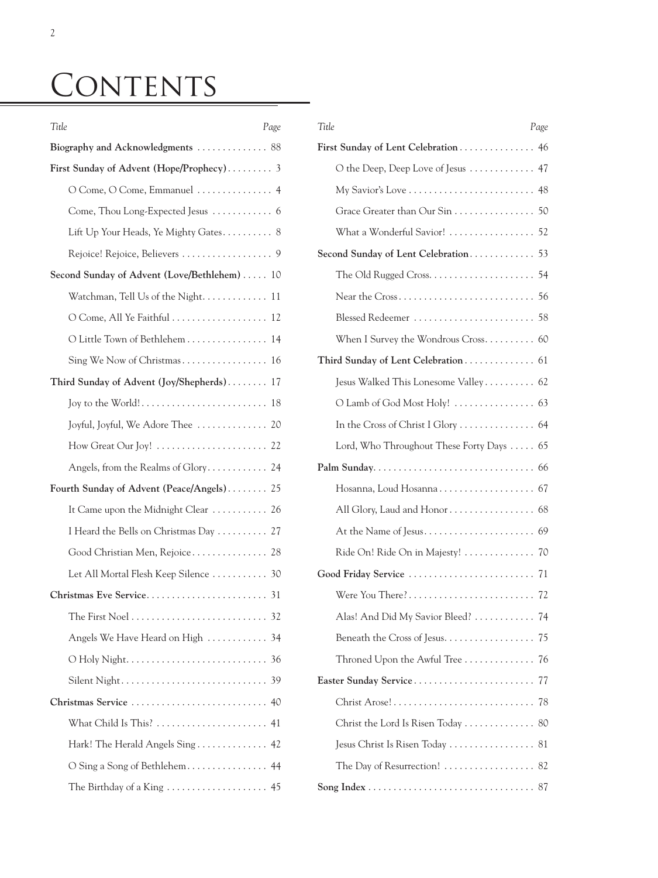# CONTENTS

| Title<br>Page                                | Title                                     | Page |
|----------------------------------------------|-------------------------------------------|------|
| Biography and Acknowledgments  88            | First Sunday of Lent Celebration 46       |      |
| First Sunday of Advent (Hope/Prophecy) 3     | O the Deep, Deep Love of Jesus  47        |      |
| O Come, O Come, Emmanuel  4                  |                                           |      |
|                                              |                                           |      |
| Lift Up Your Heads, Ye Mighty Gates 8        | What a Wonderful Savior!  52              |      |
|                                              | Second Sunday of Lent Celebration 53      |      |
| Second Sunday of Advent (Love/Bethlehem)  10 |                                           |      |
| Watchman, Tell Us of the Night 11            |                                           |      |
| O Come, All Ye Faithful  12                  |                                           |      |
| O Little Town of Bethlehem 14                | When I Survey the Wondrous Cross 60       |      |
|                                              | Third Sunday of Lent Celebration 61       |      |
| Third Sunday of Advent (Joy/Shepherds) 17    | Jesus Walked This Lonesome Valley 62      |      |
|                                              |                                           |      |
| Joyful, Joyful, We Adore Thee  20            |                                           |      |
|                                              | Lord, Who Throughout These Forty Days  65 |      |
| Angels, from the Realms of Glory 24          |                                           |      |
| Fourth Sunday of Advent (Peace/Angels) 25    |                                           |      |
| It Came upon the Midnight Clear  26          |                                           |      |
| I Heard the Bells on Christmas Day  27       |                                           |      |
| Good Christian Men, Rejoice 28               | Ride On! Ride On in Majesty!  70          |      |
| Let All Mortal Flesh Keep Silence<br>30      |                                           |      |
|                                              |                                           |      |
|                                              | Alas! And Did My Savior Bleed?  74        |      |
| Angels We Have Heard on High  34             |                                           |      |
|                                              | Throned Upon the Awful Tree  76           |      |
|                                              |                                           |      |
|                                              |                                           |      |
|                                              | Christ the Lord Is Risen Today  80        |      |
| Hark! The Herald Angels Sing 42              | Jesus Christ Is Risen Today  81           |      |
|                                              | The Day of Resurrection!  82              |      |
| The Birthday of a King  45                   |                                           |      |

| Title<br>Page                             |  |
|-------------------------------------------|--|
| First Sunday of Lent Celebration 46       |  |
| O the Deep, Deep Love of Jesus  47        |  |
|                                           |  |
| Grace Greater than Our Sin 50             |  |
| What a Wonderful Savior!  52              |  |
| Second Sunday of Lent Celebration 53      |  |
|                                           |  |
|                                           |  |
| Blessed Redeemer  58                      |  |
| When I Survey the Wondrous Cross 60       |  |
|                                           |  |
| Jesus Walked This Lonesome Valley 62      |  |
|                                           |  |
|                                           |  |
| Lord, Who Throughout These Forty Days  65 |  |
|                                           |  |
| Hosanna, Loud Hosanna 67                  |  |
|                                           |  |
|                                           |  |
| Ride On! Ride On in Majesty!  70          |  |
| Good Friday Service<br>71                 |  |
|                                           |  |
| Alas! And Did My Savior Bleed?  74        |  |
| Beneath the Cross of Jesus. 75            |  |
| Throned Upon the Awful Tree  76           |  |
|                                           |  |
|                                           |  |
| Christ the Lord Is Risen Today  80        |  |
| Jesus Christ Is Risen Today  81           |  |
| The Day of Resurrection!  82              |  |
|                                           |  |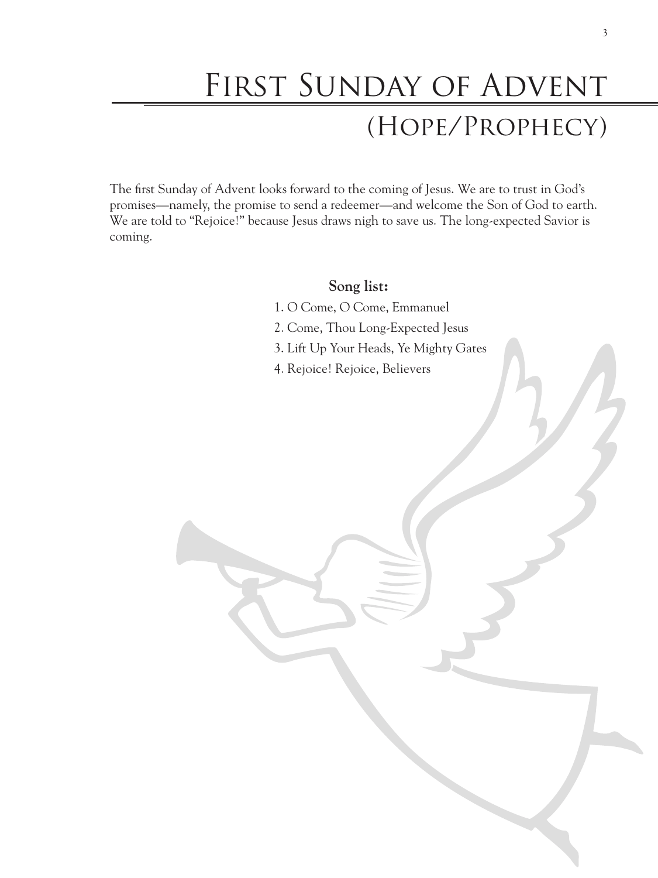# FIRST SUNDAY OF ADVENT (Hope/Prophecy)

The first Sunday of Advent looks forward to the coming of Jesus. We are to trust in God's promises—namely, the promise to send a redeemer—and welcome the Son of God to earth. We are told to "Rejoice!" because Jesus draws nigh to save us. The long-expected Savior is coming.

### **Song list:**

- 1. O Come, O Come, Emmanuel
- 2. Come, Thou Long-Expected Jesus
- 3. Lift Up Your Heads, Ye Mighty Gates
- 4. Rejoice! Rejoice, Believers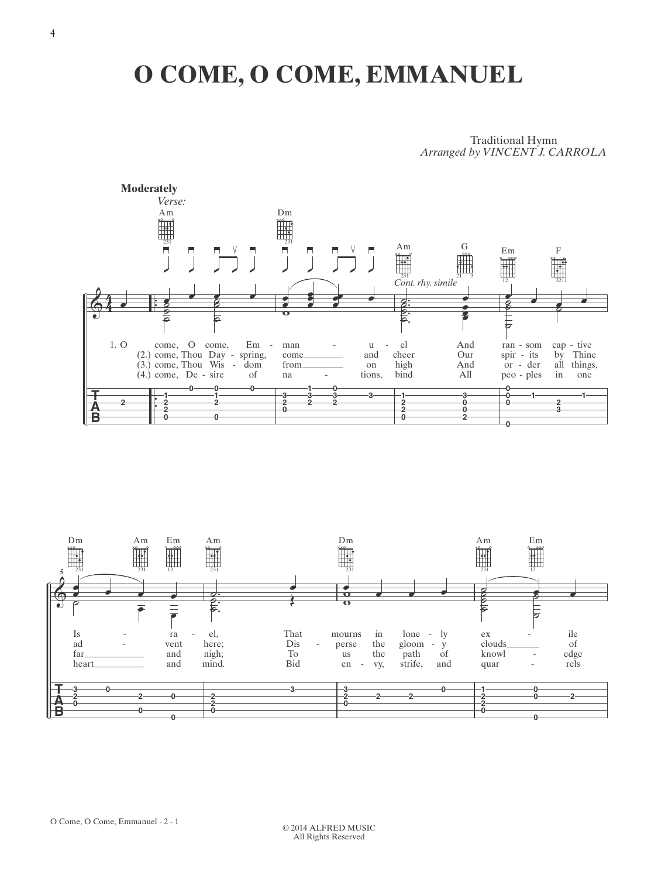## O COME, O COME, EMMANUEL

**Traditional Hymn** Arranged by VINCENT J. CARROLA